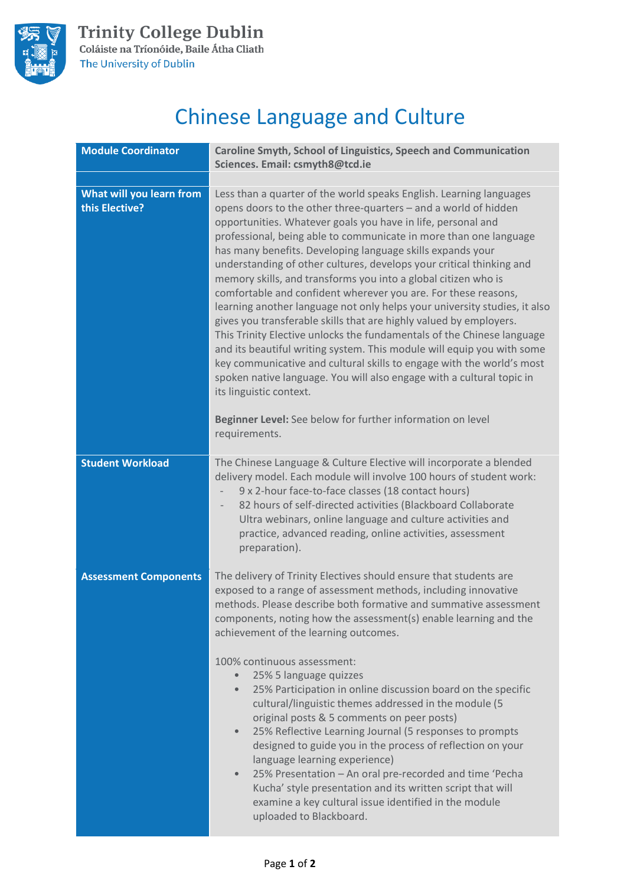

## Chinese Language and Culture

| <b>Module Coordinator</b>                  | Caroline Smyth, School of Linguistics, Speech and Communication<br>Sciences. Email: csmyth8@tcd.ie                                                                                                                                                                                                                                                                                                                                                                                                                                                                                                                                                                                                                                                                                                                                                                                                                                                                                                                                                                                                                       |
|--------------------------------------------|--------------------------------------------------------------------------------------------------------------------------------------------------------------------------------------------------------------------------------------------------------------------------------------------------------------------------------------------------------------------------------------------------------------------------------------------------------------------------------------------------------------------------------------------------------------------------------------------------------------------------------------------------------------------------------------------------------------------------------------------------------------------------------------------------------------------------------------------------------------------------------------------------------------------------------------------------------------------------------------------------------------------------------------------------------------------------------------------------------------------------|
|                                            |                                                                                                                                                                                                                                                                                                                                                                                                                                                                                                                                                                                                                                                                                                                                                                                                                                                                                                                                                                                                                                                                                                                          |
| What will you learn from<br>this Elective? | Less than a quarter of the world speaks English. Learning languages<br>opens doors to the other three-quarters - and a world of hidden<br>opportunities. Whatever goals you have in life, personal and<br>professional, being able to communicate in more than one language<br>has many benefits. Developing language skills expands your<br>understanding of other cultures, develops your critical thinking and<br>memory skills, and transforms you into a global citizen who is<br>comfortable and confident wherever you are. For these reasons,<br>learning another language not only helps your university studies, it also<br>gives you transferable skills that are highly valued by employers.<br>This Trinity Elective unlocks the fundamentals of the Chinese language<br>and its beautiful writing system. This module will equip you with some<br>key communicative and cultural skills to engage with the world's most<br>spoken native language. You will also engage with a cultural topic in<br>its linguistic context.<br>Beginner Level: See below for further information on level<br>requirements. |
| <b>Student Workload</b>                    | The Chinese Language & Culture Elective will incorporate a blended<br>delivery model. Each module will involve 100 hours of student work:<br>9 x 2-hour face-to-face classes (18 contact hours)<br>82 hours of self-directed activities (Blackboard Collaborate<br>Ultra webinars, online language and culture activities and<br>practice, advanced reading, online activities, assessment<br>preparation).                                                                                                                                                                                                                                                                                                                                                                                                                                                                                                                                                                                                                                                                                                              |
| <b>Assessment Components</b>               | The delivery of Trinity Electives should ensure that students are<br>exposed to a range of assessment methods, including innovative<br>methods. Please describe both formative and summative assessment<br>components, noting how the assessment(s) enable learning and the<br>achievement of the learning outcomes.<br>100% continuous assessment:<br>25% 5 language quizzes<br>25% Participation in online discussion board on the specific<br>$\bullet$<br>cultural/linguistic themes addressed in the module (5<br>original posts & 5 comments on peer posts)<br>25% Reflective Learning Journal (5 responses to prompts<br>$\bullet$<br>designed to guide you in the process of reflection on your<br>language learning experience)<br>25% Presentation - An oral pre-recorded and time 'Pecha<br>$\bullet$<br>Kucha' style presentation and its written script that will<br>examine a key cultural issue identified in the module<br>uploaded to Blackboard.                                                                                                                                                       |